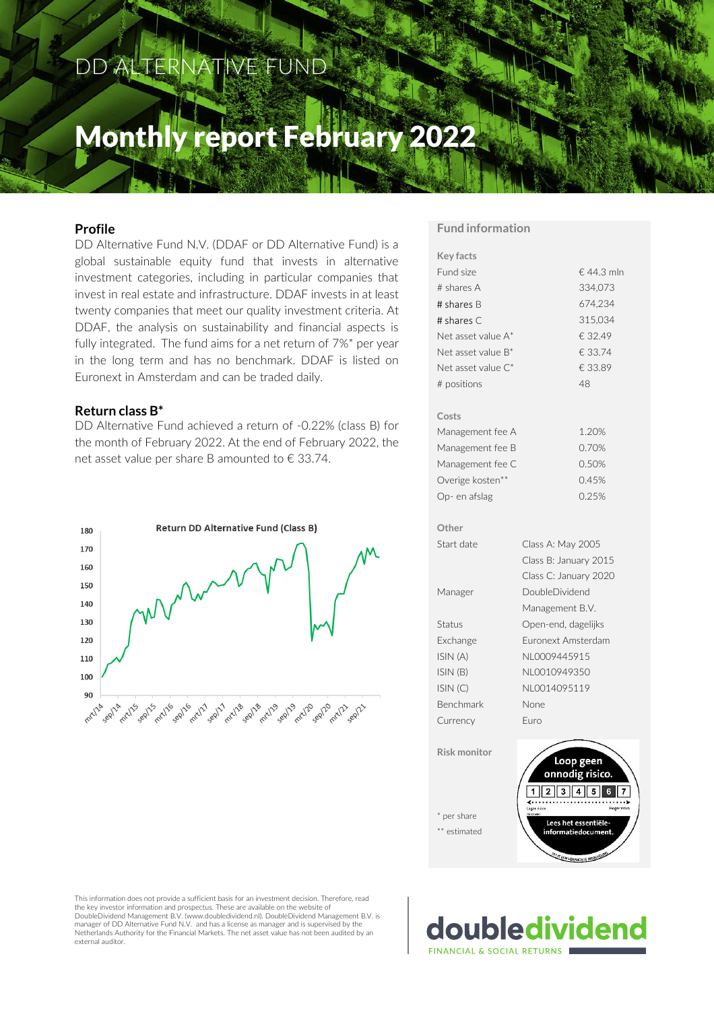### DD ALTERNATIVE FUND

### Monthly report February 2022

#### **Profile**

DD Alternative Fund N.V. (DDAF or DD Alternative Fund) is a global sustainable equity fund that invests in alternative investment categories, including in particular companies that invest in real estate and infrastructure. DDAF invests in at least twenty companies that meet our quality investment criteria. At DDAF, the analysis on sustainability and financial aspects is fully integrated. The fund aims for a net return of 7%\* per year in the long term and has no benchmark. DDAF is listed on Euronext in Amsterdam and can be traded daily.

#### **Return class B\***

DD Alternative Fund achieved a return of -0.22% (class B) for the month of February 2022. At the end of February 2022, the net asset value per share B amounted to € 33.74.



#### **Fund information**

| <b>Key facts</b>    |                              |
|---------------------|------------------------------|
| Fund size           | €44.3 mln                    |
| # shares A          | 334,073                      |
| # shares B          | 674,234                      |
| # shares C          | 315,034                      |
| Net asset value A*  | € 32.49                      |
| Net asset value B*  | € 33.74                      |
| Net asset value C*  | € 33.89                      |
| # positions         | 48                           |
| Costs               |                              |
| Management fee A    | 1.20%                        |
| Management fee B    | 0.70%                        |
| Management fee C    | 0.50%                        |
| Overige kosten**    | 0.45%                        |
| Op- en afslag       | 0.25%                        |
| Other               |                              |
| Start date          | Class A: May 2005            |
|                     | Class B: January 2015        |
|                     | Class C: January 2020        |
| Manager             | <b>DoubleDividend</b>        |
|                     | Management B.V.              |
| Status              | Open-end, dagelijks          |
| Exchange            | Euronext Amsterdam           |
| ISIN (A)            | NL0009445915                 |
| ISIN(B)             | NL0010949350                 |
| ISIN(C)             | NL0014095119                 |
| <b>Benchmark</b>    | None                         |
| Currency            | Euro                         |
| <b>Risk monitor</b> | Loop geen<br>onnodig risico. |
|                     |                              |
| per share           |                              |

This information does not provide a sufficient basis for an investment decision. Therefore, read the key investor information and prospectus. These are available on the website of DoubleDividend Management B.V. (www.doubledividend.nl). DoubleDividend Management B.V. is manager of DD Alternative Fund N.V. and has a license as manager and is supervised by the Netherlands Authority for the Financial Markets. The net asset value has not been audited by an external auditor.

doubledividend FINANCIAL & SOCIAL RETURNS

Lees het essentiële

\*\* estimated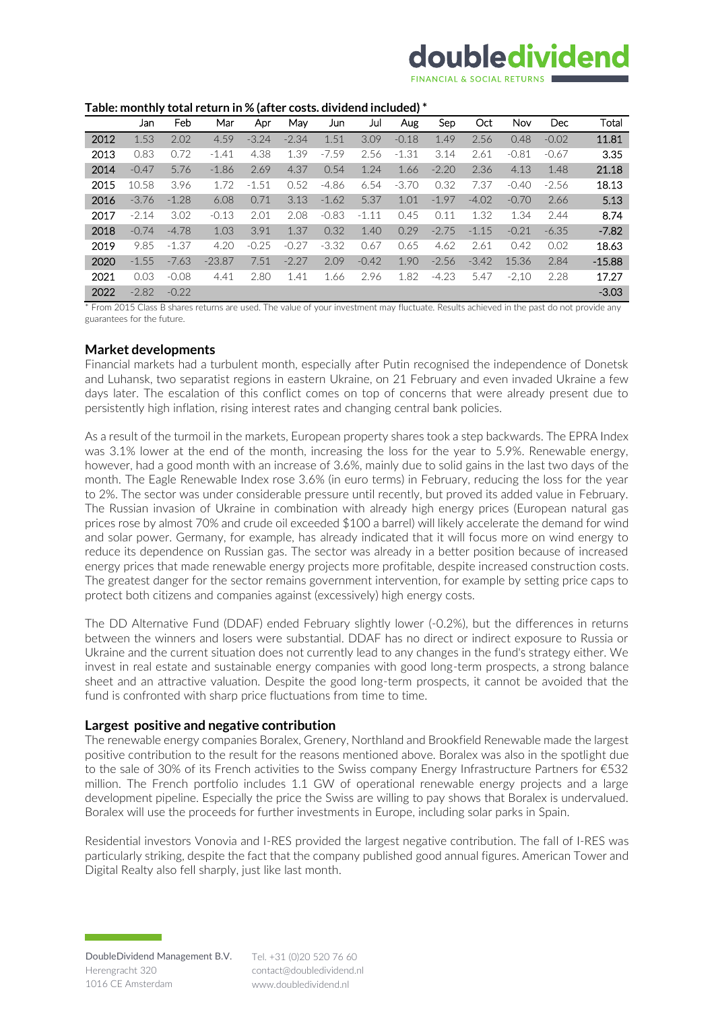## doubledividend

#### **Table: monthly total return in % (after costs. dividend included) \***

|      | Jan     | Feb     | Mar      | Apr     | May     | Jun     | Jul     | Aug     | Sep     | Oct     | <b>Nov</b> | Dec     | Total    |
|------|---------|---------|----------|---------|---------|---------|---------|---------|---------|---------|------------|---------|----------|
| 2012 | 1.53    | 2.02    | 4.59     | $-3.24$ | $-2.34$ | 1.51    | 3.09    | $-0.18$ | 1.49    | 2.56    | 0.48       | $-0.02$ | 11.81    |
| 2013 | 0.83    | 0.72    | $-1.41$  | 4.38    | 1.39    | $-7.59$ | 2.56    | $-1.31$ | 3.14    | 2.61    | $-0.81$    | $-0.67$ | 3.35     |
| 2014 | $-0.47$ | 5.76    | $-1.86$  | 2.69    | 4.37    | 0.54    | 1.24    | 1.66    | $-2.20$ | 2.36    | 4.13       | 1.48    | 21.18    |
| 2015 | 10.58   | 3.96    | 1.72     | $-1.51$ | 0.52    | $-4.86$ | 6.54    | $-3.70$ | 0.32    | 7.37    | $-0.40$    | $-2.56$ | 18.13    |
| 2016 | $-3.76$ | $-1.28$ | 6.08     | 0.71    | 3.13    | $-1.62$ | 5.37    | 1.01    | $-1.97$ | $-4.02$ | $-0.70$    | 2.66    | 5.13     |
| 2017 | $-2.14$ | 3.02    | $-0.13$  | 2.01    | 2.08    | $-0.83$ | $-1.11$ | 0.45    | 0.11    | 1.32    | 1.34       | 2.44    | 8.74     |
| 2018 | $-0.74$ | $-4.78$ | 1.03     | 3.91    | 1.37    | 0.32    | 1.40    | 0.29    | $-2.75$ | $-1.15$ | $-0.21$    | $-6.35$ | $-7.82$  |
| 2019 | 9.85    | $-1.37$ | 4.20     | $-0.25$ | $-0.27$ | $-3.32$ | 0.67    | 0.65    | 4.62    | 2.61    | 0.42       | 0.02    | 18.63    |
| 2020 | $-1.55$ | $-7.63$ | $-23.87$ | 7.51    | $-2.27$ | 2.09    | $-0.42$ | 1.90    | $-2.56$ | $-3.42$ | 15.36      | 2.84    | $-15.88$ |
| 2021 | 0.03    | $-0.08$ | 4.41     | 2.80    | 1.41    | 1.66    | 2.96    | 1.82    | $-4.23$ | 5.47    | $-2.10$    | 2.28    | 17.27    |
| 2022 | $-2.82$ | $-0.22$ |          |         |         |         |         |         |         |         |            |         | $-3.03$  |

\* From 2015 Class B shares returns are used. The value of your investment may fluctuate. Results achieved in the past do not provide any guarantees for the future.

#### **Market developments**

Financial markets had a turbulent month, especially after Putin recognised the independence of Donetsk and Luhansk, two separatist regions in eastern Ukraine, on 21 February and even invaded Ukraine a few days later. The escalation of this conflict comes on top of concerns that were already present due to persistently high inflation, rising interest rates and changing central bank policies.

As a result of the turmoil in the markets, European property shares took a step backwards. The EPRA Index was 3.1% lower at the end of the month, increasing the loss for the year to 5.9%. Renewable energy, however, had a good month with an increase of 3.6%, mainly due to solid gains in the last two days of the month. The Eagle Renewable Index rose 3.6% (in euro terms) in February, reducing the loss for the year to 2%. The sector was under considerable pressure until recently, but proved its added value in February. The Russian invasion of Ukraine in combination with already high energy prices (European natural gas prices rose by almost 70% and crude oil exceeded \$100 a barrel) will likely accelerate the demand for wind and solar power. Germany, for example, has already indicated that it will focus more on wind energy to reduce its dependence on Russian gas. The sector was already in a better position because of increased energy prices that made renewable energy projects more profitable, despite increased construction costs. The greatest danger for the sector remains government intervention, for example by setting price caps to protect both citizens and companies against (excessively) high energy costs.

The DD Alternative Fund (DDAF) ended February slightly lower (-0.2%), but the differences in returns between the winners and losers were substantial. DDAF has no direct or indirect exposure to Russia or Ukraine and the current situation does not currently lead to any changes in the fund's strategy either. We invest in real estate and sustainable energy companies with good long-term prospects, a strong balance sheet and an attractive valuation. Despite the good long-term prospects, it cannot be avoided that the fund is confronted with sharp price fluctuations from time to time.

#### **Largest positive and negative contribution**

The renewable energy companies Boralex, Grenery, Northland and Brookfield Renewable made the largest positive contribution to the result for the reasons mentioned above. Boralex was also in the spotlight due to the sale of 30% of its French activities to the Swiss company Energy Infrastructure Partners for €532 million. The French portfolio includes 1.1 GW of operational renewable energy projects and a large development pipeline. Especially the price the Swiss are willing to pay shows that Boralex is undervalued. Boralex will use the proceeds for further investments in Europe, including solar parks in Spain.

Residential investors Vonovia and I-RES provided the largest negative contribution. The fall of I-RES was particularly striking, despite the fact that the company published good annual figures. American Tower and Digital Realty also fell sharply, just like last month.

Tel. +31 (0)20 520 76 60 contact@doubledividend.nl www.doubledividend.nl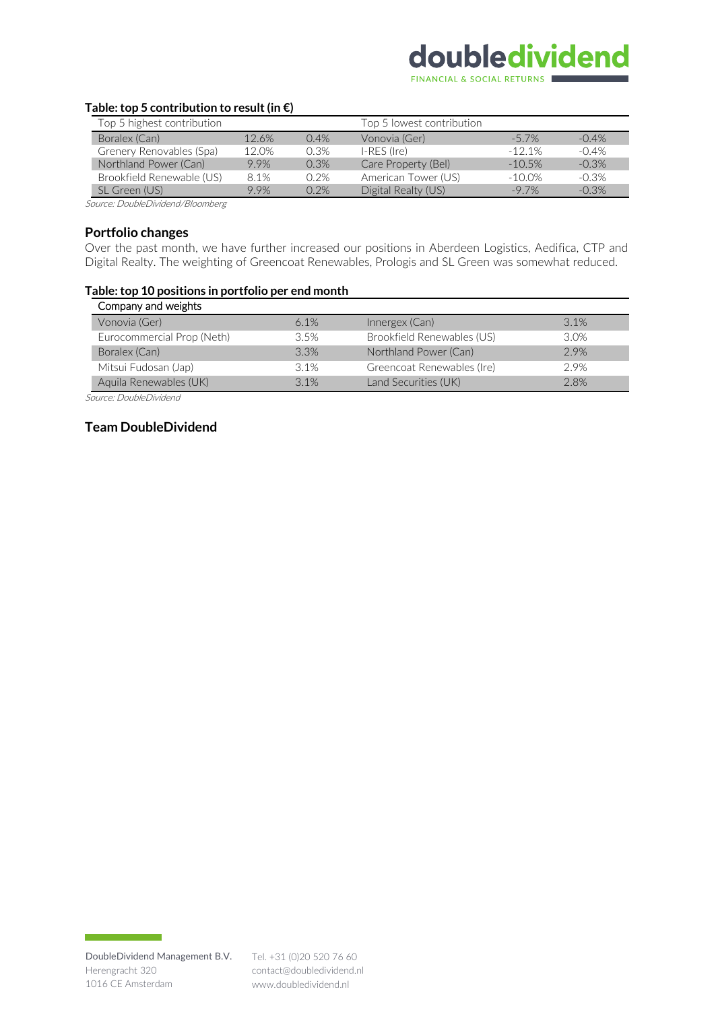# doubledividend

FINANCIAL & SOCIAL RETURNS

#### **Table: top 5 contribution to result (in €)**

| Top 5 highest contribution |       |         | Top 5 lowest contribution |           |         |
|----------------------------|-------|---------|---------------------------|-----------|---------|
| Boralex (Can)              | 12.6% | $0.4\%$ | Vonovia (Ger)             | $-5.7\%$  | $-0.4%$ |
| Grenery Renovables (Spa)   | 12.0% | 0.3%    | $I-RES$ (Ire)             | $-121%$   | $-0.4%$ |
| Northland Power (Can)      | 9.9%  | 0.3%    | Care Property (Bel)       | $-10.5%$  | $-0.3%$ |
| Brookfield Renewable (US)  | 8.1%  | 0.2%    | American Tower (US)       | $-10.0\%$ | $-0.3%$ |
| SL Green (US)              | 9.9%  | 0.2%    | Digital Realty (US)       | $-97\%$   | $-0.3%$ |

Source: DoubleDividend/Bloomberg

#### **Portfolio changes**

Over the past month, we have further increased our positions in Aberdeen Logistics, Aedifica, CTP and Digital Realty. The weighting of Greencoat Renewables, Prologis and SL Green was somewhat reduced.

#### **Table: top 10 positions in portfolio per end month**

| Company and weights        |         |                            |      |
|----------------------------|---------|----------------------------|------|
| Vonovia (Ger)              | $6.1\%$ | Innergex (Can)             | 3.1% |
| Eurocommercial Prop (Neth) | 3.5%    | Brookfield Renewables (US) | 3.0% |
| Boralex (Can)              | 3.3%    | Northland Power (Can)      | 2.9% |
| Mitsui Fudosan (Jap)       | 3.1%    | Greencoat Renewables (Ire) | 2.9% |
| Aquila Renewables (UK)     | 3.1%    | Land Securities (UK)       | 2.8% |

Source: DoubleDividend

#### **Team DoubleDividend**

**The Committee Committee Committee**